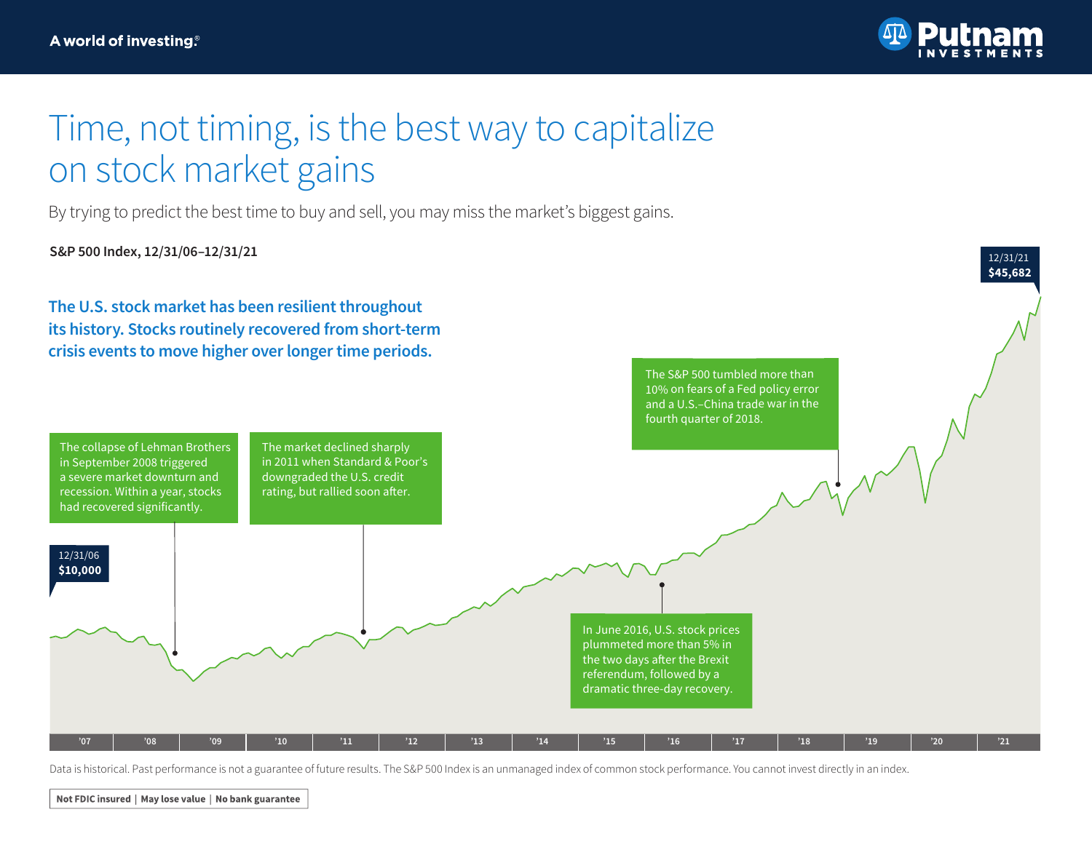

## Time, not timing, is the best way to capitalize on stock market gains

By trying to predict the best time to buy and sell, you may miss the market's biggest gains.

**S&P 500 Index, 12/31/06–12/31/21**

in September 2008 triggered a severe market downturn and recession. Within a year, stocks had recovered significantly.

\$20000 12/31/06

**\$10,000**

**The U.S. stock market has been resilient throughout its history. Stocks routinely recovered from short-term crisis events to move higher over longer time periods.**

The collapse of Lehman Brothers The market declined sharply in 2011 when Standard & Poor's downgraded the U.S. credit rating, but rallied soon after.



Data is historical. Past performance is not a guarantee of future results. The S&P 500 Index is an unmanaged index of common stock performance. You cannot invest directly in an index.

**'07 '08 '09 '10 '11 '12 '13 '14 '15 '16 '17 '18 '19 '20 '21**

Not FDIC insured | May lose value | No bank guarantee